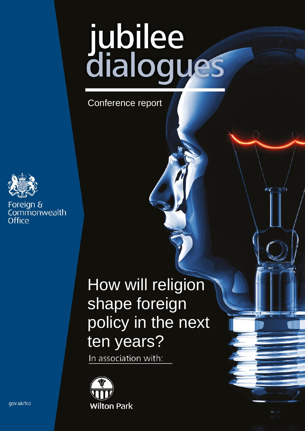# jubilee<br>dialogues

Conference report



Foreign & Commonwealth Office

# How will religion shape foreign policy in the next ten years?

In association with:



gov.uk/fco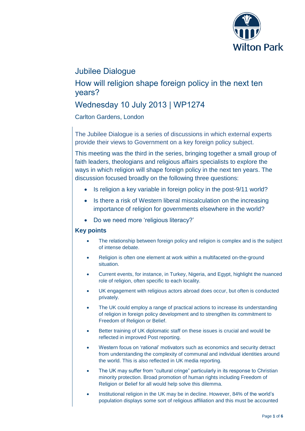

# Jubilee Dialogue

### How will religion shape foreign policy in the next ten years?

# Wednesday 10 July 2013 | WP1274

Carlton Gardens, London

The Jubilee Dialogue is a series of discussions in which external experts provide their views to Government on a key foreign policy subject.

This meeting was the third in the series, bringing together a small group of faith leaders, theologians and religious affairs specialists to explore the ways in which religion will shape foreign policy in the next ten years. The discussion focused broadly on the following three questions:

- Is religion a key variable in foreign policy in the post-9/11 world?
- Is there a risk of Western liberal miscalculation on the increasing importance of religion for governments elsewhere in the world?
- Do we need more 'religious literacy?'

#### **Key points**

- The relationship between foreign policy and religion is complex and is the subject of intense debate.
- Religion is often one element at work within a multifaceted on-the-ground situation.
- Current events, for instance, in Turkey, Nigeria, and Egypt, highlight the nuanced role of religion, often specific to each locality.
- UK engagement with religious actors abroad does occur, but often is conducted privately.
- The UK could employ a range of practical actions to increase its understanding of religion in foreign policy development and to strengthen its commitment to Freedom of Religion or Belief.
- Better training of UK diplomatic staff on these issues is crucial and would be reflected in improved Post reporting.
- Western focus on 'rational' motivators such as economics and security detract from understanding the complexity of communal and individual identities around the world. This is also reflected in UK media reporting.
- The UK may suffer from "cultural cringe" particularly in its response to Christian minority protection. Broad promotion of human rights including Freedom of Religion or Belief for all would help solve this dilemma.
- Institutional religion in the UK may be in decline. However, 84% of the world's population displays some sort of religious affiliation and this must be accounted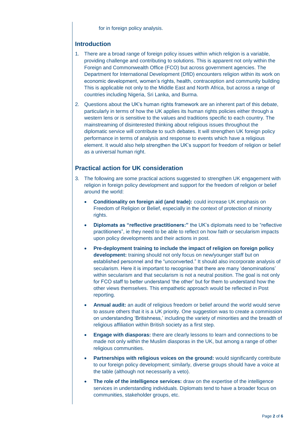for in foreign policy analysis.

#### **Introduction**

- 1. There are a broad range of foreign policy issues within which religion is a variable, providing challenge and contributing to solutions. This is apparent not only within the Foreign and Commonwealth Office (FCO) but across government agencies. The Department for International Development (DfID) encounters religion within its work on economic development, women's rights, health, contraception and community building This is applicable not only to the Middle East and North Africa, but across a range of countries including Nigeria, Sri Lanka, and Burma.
- 2. Questions about the UK's human rights framework are an inherent part of this debate, particularly in terms of how the UK applies its human rights policies either through a western lens or is sensitive to the values and traditions specific to each country. The mainstreaming of disinterested thinking about religious issues throughout the diplomatic service will contribute to such debates. It will strengthen UK foreign policy performance in terms of analysis and response to events which have a religious element. It would also help strengthen the UK's support for freedom of religion or belief as a universal human right.

#### **Practical action for UK consideration**

- 3. The following are some practical actions suggested to strengthen UK engagement with religion in foreign policy development and support for the freedom of religion or belief around the world:
	- **Conditionality on foreign aid (and trade):** could increase UK emphasis on Freedom of Religion or Belief, especially in the context of protection of minority rights.
	- **Diplomats as "reflective practitioners:"** the UK's diplomats need to be "reflective practitioners", ie they need to be able to reflect on how faith *or* secularism impacts upon policy developments and their actions in post.
	- **Pre-deployment training to include the impact of religion on foreign policy development:** training should not only focus on new/younger staff but on established personnel and the "unconverted." It should also incorporate analysis of secularism. Here it is important to recognise that there are many 'denominations' within secularism and that secularism is not a neutral position. The goal is not only for FCO staff to better understand 'the other' but for them to understand how the other views themselves. This empathetic approach would be reflected in Post reporting.
	- **Annual audit:** an audit of religious freedom or belief around the world would serve to assure others that it is a UK priority. One suggestion was to create a commission on understanding 'Britishness,' including the variety of minorities and the breadth of religious affiliation within British society as a first step.
	- **Engage with diasporas:** there are clearly lessons to learn and connections to be made not only within the Muslim diasporas in the UK, but among a range of other religious communities.
	- **Partnerships with religious voices on the ground:** would significantly contribute to our foreign policy development; similarly, diverse groups should have a voice at the table (although not necessarily a veto).
	- **The role of the intelligence services:** draw on the expertise of the intelligence services in understanding individuals. Diplomats tend to have a broader focus on communities, stakeholder groups, etc.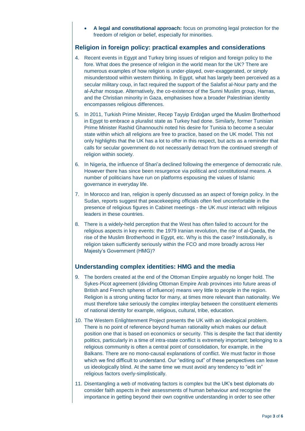**A legal and constitutional approach:** focus on promoting legal protection for the freedom of religion or belief, especially for minorities.

#### **Religion in foreign policy: practical examples and considerations**

- 4. Recent events in Egypt and Turkey bring issues of religion and foreign policy to the fore. What does the presence of religion in the world mean for the UK? There are numerous examples of how religion is under-played, over-exaggerated, or simply misunderstood within western thinking. In Egypt, what has largely been perceived as a secular military coup, in fact required the support of the Salafist al-Nour party and the al-Azhar mosque. Alternatively, the co-existence of the Sunni Muslim group, Hamas, and the Christian minority in Gaza, emphasises how a broader Palestinian identity encompasses religious differences.
- 5. In 2011, Turkish Prime Minister, Recep Tayyip Erdoğan urged the Muslim Brotherhood in Egypt to embrace a pluralist state as Turkey had done. Similarly, former Tunisian Prime Minister Rashid Ghannouchi noted his desire for Tunisia to become a secular state within which all religions are free to practice, based on the UK model. This not only highlights that the UK has a lot to offer in this respect, but acts as a reminder that calls for secular government do not necessarily detract from the continued strength of religion within society.
- 6. In Nigeria, the influence of Shari'a declined following the emergence of democratic rule. However there has since been resurgence via political and constitutional means. A number of politicians have run on platforms espousing the values of Islamic governance in everyday life.
- 7. In Morocco and Iran, religion is openly discussed as an aspect of foreign policy. In the Sudan, reports suggest that peacekeeping officials often feel uncomfortable in the presence of religious figures in Cabinet meetings - the UK *must* interact with religious leaders in these countries.
- 8. There is a widely-held perception that the West has often failed to account for the religious aspects in key events: the 1979 Iranian revolution, the rise of al-Qaeda, the rise of the Muslim Brotherhood in Egypt, etc. Why is this the case? Institutionally, is religion taken sufficiently seriously within the FCO and more broadly across Her Majesty's Government (HMG)?

#### **Understanding complex identities: HMG and the media**

- 9. The borders created at the end of the Ottoman Empire arguably no longer hold. The Sykes-Picot agreement (dividing Ottoman Empire Arab provinces into future areas of British and French spheres of influence) means very little to people in the region. Religion is a strong uniting factor for many, at times more relevant than nationality. We must therefore take seriously the complex interplay between the constituent elements of national identity for example, religious, cultural, tribe, education.
- 10. The Western Enlightenment Project presents the UK with an ideological problem. There is no point of reference beyond human rationality which makes our default position one that is based on economics or security. This is despite the fact that identity politics, particularly in a time of intra-state conflict is extremely important; belonging to a religious community is often a central point of consolidation, for example, in the Balkans. There are no mono-causal explanations of conflict. We must factor in those which we find difficult to understand. Our "editing out" of these perspectives can leave us ideologically blind. At the same time we must avoid any tendency to "edit in" religious factors overly-simplistically.
- 11. Disentangling a web of motivating factors is complex but the UK's best diplomats *do* consider faith aspects in their assessments of human behaviour and recognise the importance in getting beyond their own cognitive understanding in order to see other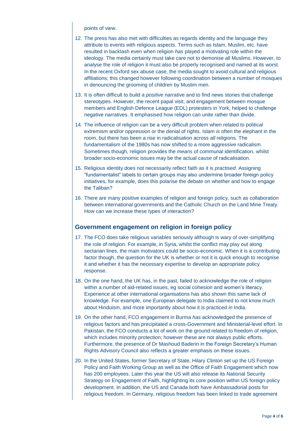points of view.

- 12. The press has also met with difficulties as regards identity and the language they attribute to events with religious aspects. Terms such as Islam, Muslim, etc. have resulted in backlash even when religion *has* played a motivating role within the ideology. The media certainly must take care not to demonise all Muslims. However, to analyse the role of religion it must also be properly recognised and named at its worst. In the recent Oxford sex abuse case, the media sought to avoid cultural and religious affiliations; this changed however following coordination between a number of mosques in denouncing the grooming of children by Muslim men.
- 13. It is often difficult to build a *positive* narrative and to find news stories that challenge stereotypes. However, the recent papal visit, and engagement between mosque members and English Defence League (EDL) protesters in York, helped to challenge negative narratives. It emphasised how religion can unite rather than divide.
- 14. The influence of religion can be a very difficult problem when related to political extremism and/or oppression or the denial of rights. Islam *is* often the elephant in the room, but there has been a rise in radicalisation across *all* religions. The fundamentalism of the 1980s has now shifted to a more aggressive radicalism. Sometimes though, religion provides the *means* of communal identification, whilst broader socio-economic issues may be the actual *cause* of radicalisation.
- 15. Religious identity does not necessarily reflect faith as it is *practised*. Assigning "fundamentalist" labels to certain groups may also undermine broader foreign policy initiatives, for example, does this polarise the debate on whether and how to engage the Taliban?
- 16. There are many positive examples of religion and foreign policy, such as collaboration between international governments and the Catholic Church on the Land Mine Treaty. How can we increase these types of interaction?

#### **Government engagement on religion in foreign policy**

- 17. The FCO does take religious variables seriously although is wary of over-simplifying the role of religion. For example, in Syria, whilst the conflict may play out along sectarian lines, the main motivators could be socio-economic. When it is a contributing factor though, the question for the UK is whether or not it is quick enough to recognise it and whether it has the necessary expertise to develop an appropriate policy response.
- 18. On the one hand, the UK has, in the past, failed to acknowledge the role of religion within a number of aid-related issues, eg social cohesion and women's literacy. Experience at other international organisations has also shown this same lack of knowledge. For example, one European delegate to India claimed to not know much about Hinduism, and more importantly about how it is practiced *in* India.
- 19. On the other hand, FCO engagement in Burma *has* acknowledged the presence of religious factors and has precipitated a cross-Government and Ministerial-level effort. In Pakistan, the FCO conducts a lot of work on the ground related to freedom of religion, which includes minority protection; however these are not always public efforts. Furthermore, the presence of Dr Mashoud Baderin in the Foreign Secretary's Human Rights Advisory Council also reflects a greater emphasis on these issues.
- 20. In the United States, former Secretary of State, Hilary Clinton set up the US Foreign Policy and Faith Working Group as well as the Office of Faith Engagement which now has 200 employees. Later this year the US will also release its National Security Strategy on Engagement of Faith, highlighting its core position within US foreign policy development. In addition, the US and Canada both have Ambassadorial posts for religious freedom. In Germany, religious freedom has been linked to trade agreement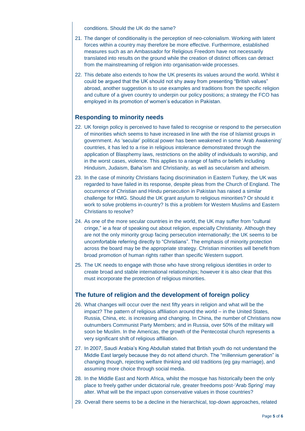#### conditions. Should the UK do the same?

- 21. The danger of conditionality is the perception of neo-colonialism. Working with latent forces within a country may therefore be more effective. Furthermore, established measures such as an Ambassador for Religious Freedom have not necessarily translated into results on the ground while the creation of distinct offices can detract from the mainstreaming of religion into organisation-wide processes.
- 22. This debate also extends to how the UK presents its values around the world. Whilst it could be argued that the UK should not shy away from presenting "British values" abroad, another suggestion is to use examples and traditions from the specific religion and culture of a given country to underpin our policy positions; a strategy the FCO has employed in its promotion of women's education in Pakistan.

#### **Responding to minority needs**

- 22. UK foreign policy is perceived to have failed to recognise or respond to the persecution of minorities which seems to have increased in line with the rise of Islamist groups in government. As 'secular' political power has been weakened in some 'Arab Awakening' countries, it has led to a rise in religious intolerance demonstrated through the application of Blasphemy laws, restrictions on the ability of individuals to worship, and in the worst cases, violence. This applies to a range of faiths or beliefs including Hinduism, Judaism, Baha'ism and Christianity, as well as secularism and atheism.
- 23. In the case of minority Christians facing discrimination in Eastern Turkey, the UK was regarded to have failed in its response, despite pleas from the Church of England. The occurrence of Christian and Hindu persecution in Pakistan has raised a similar challenge for HMG. Should the UK grant asylum to religious minorities? Or should it work to solve problems in-country? Is this a problem for Western Muslims and Eastern Christians to resolve?
- 24. As one of the more secular countries in the world, the UK may suffer from "cultural cringe," ie a fear of speaking out about religion, especially Christianity. Although they are not the only minority group facing persecution internationally; the UK seems to be uncomfortable referring directly to "Christians". The emphasis of minority protection across the board may be the appropriate strategy. Christian minorities will benefit from broad promotion of human rights rather than specific Western support.
- 25. The UK needs to engage with those who have strong religious identities in order to create broad and stable international relationships; however it is also clear that this must incorporate the protection of religious minorities.

#### **The future of religion and the development of foreign policy**

- 26. What changes will occur over the next fifty years in religion and what will be the impact? The pattern of religious affiliation around the world – in the United States, Russia, China, etc. is increasing and changing. In China, the number of Christians now outnumbers Communist Party Members; and in Russia, over 50% of the military will soon be Muslim. In the Americas, the growth of the Pentecostal church represents a very significant shift of religious affiliation.
- 27. In 2007, Saudi Arabia's King Abdullah stated that British youth do not understand the Middle East largely because they do not attend church. The "millennium generation" is changing though, rejecting welfare thinking and old traditions (eg gay marriage), and assuming more choice through social media.
- 28. In the Middle East and North Africa, whilst the mosque has historically been the only place to freely gather under dictatorial rule, greater freedoms post-'Arab Spring' may alter. What will be the impact upon conservative values in those countries?
- 29. Overall there seems to be a decline in the hierarchical, top-down approaches, related